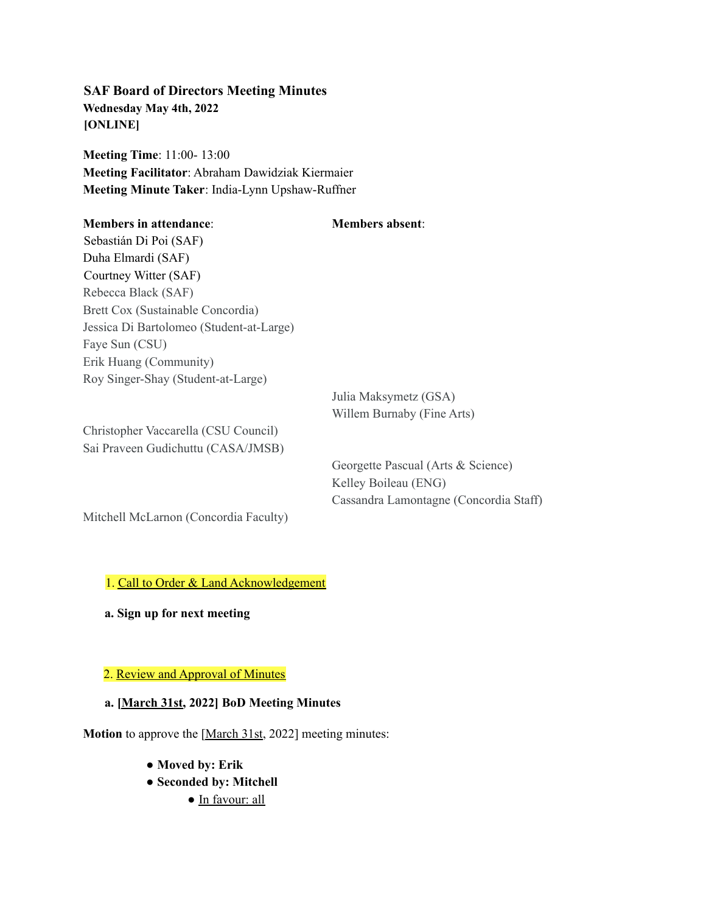**SAF Board of Directors Meeting Minutes Wednesday May 4th, 2022 [ONLINE]**

**Meeting Time**: 11:00- 13:00 **Meeting Facilitator**: Abraham Dawidziak Kiermaier **Meeting Minute Taker**: India-Lynn Upshaw-Ruffner

| <b>Members in attendance:</b>            | <b>Members absent:</b>                                          |
|------------------------------------------|-----------------------------------------------------------------|
| Sebastián Di Poi (SAF)                   |                                                                 |
| Duha Elmardi (SAF)                       |                                                                 |
| Courtney Witter (SAF)                    |                                                                 |
| Rebecca Black (SAF)                      |                                                                 |
| Brett Cox (Sustainable Concordia)        |                                                                 |
| Jessica Di Bartolomeo (Student-at-Large) |                                                                 |
| Faye Sun (CSU)                           |                                                                 |
| Erik Huang (Community)                   |                                                                 |
| Roy Singer-Shay (Student-at-Large)       |                                                                 |
|                                          | Julia Maksymetz (GSA)                                           |
|                                          | Willem Burnaby (Fine Arts)                                      |
| Christopher Vaccarella (CSU Council)     |                                                                 |
| Sai Praveen Gudichuttu (CASA/JMSB)       |                                                                 |
|                                          | $Caarccoth$ $Doseval$ $(A, \text{the } \mathbb{R}$ $\Omega$ $)$ |

Georgette Pascual (Arts & Science) Kelley Boileau (ENG) Cassandra Lamontagne (Concordia Staff)

Mitchell McLarnon (Concordia Faculty)

1. Call to Order & Land Acknowledgement

**a. Sign up for next meeting**

## 2. Review and Approval of Minutes

## **a. [March 31st, 2022] BoD Meeting Minutes**

**Motion** to approve the [March 31st, 2022] meeting minutes:

- **Moved by: Erik**
- **Seconded by: Mitchell**
	- In favour: all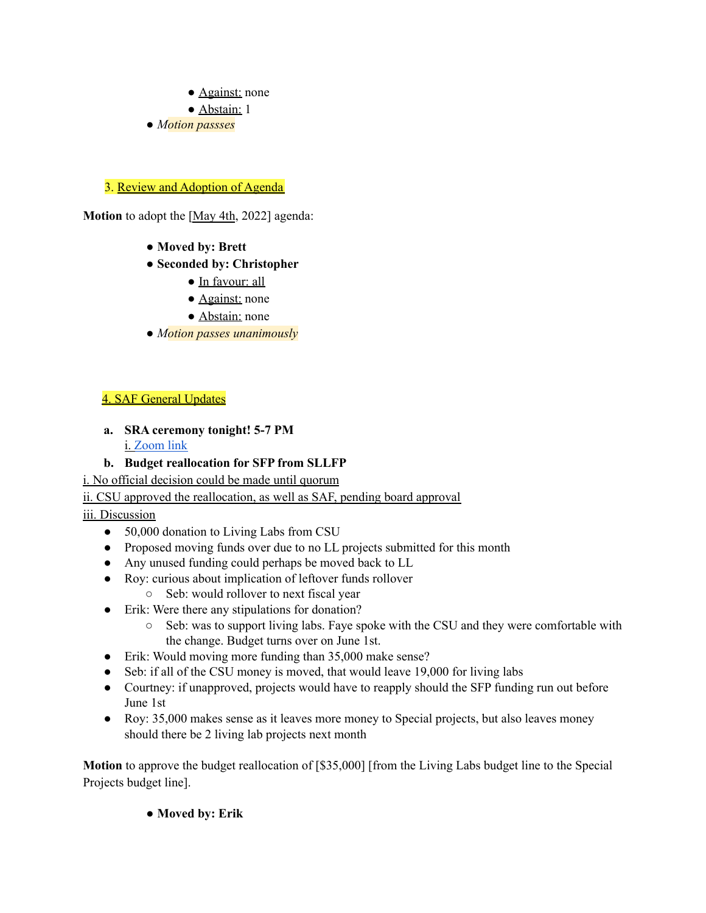- Against: none
- Abstain: 1
- *Motion passses*

### 3. Review and Adoption of Agenda

**Motion** to adopt the [May 4th, 2022] agenda:

- **Moved by: Brett**
- **Seconded by: Christopher**
	- In favour: all
	- Against: none
	- Abstain: none
- *Motion passes unanimously*

### 4. SAF General Updates

**a. SRA ceremony tonight! 5-7 PM** i. [Zoom](https://concordia-ca.zoom.us/j/87963247614) link

### **b. Budget reallocation for SFP from SLLFP**

i. No official decision could be made until quorum

#### ii. CSU approved the reallocation, as well as SAF, pending board approval

## iii. Discussion

- 50,000 donation to Living Labs from CSU
- Proposed moving funds over due to no LL projects submitted for this month
- Any unused funding could perhaps be moved back to LL
- Roy: curious about implication of leftover funds rollover
	- Seb: would rollover to next fiscal year
- Erik: Were there any stipulations for donation?
	- Seb: was to support living labs. Faye spoke with the CSU and they were comfortable with the change. Budget turns over on June 1st.
- Erik: Would moving more funding than 35,000 make sense?
- Seb: if all of the CSU money is moved, that would leave 19,000 for living labs
- Courtney: if unapproved, projects would have to reapply should the SFP funding run out before June 1st
- Roy: 35,000 makes sense as it leaves more money to Special projects, but also leaves money should there be 2 living lab projects next month

**Motion** to approve the budget reallocation of [\$35,000] [from the Living Labs budget line to the Special Projects budget line].

● **Moved by: Erik**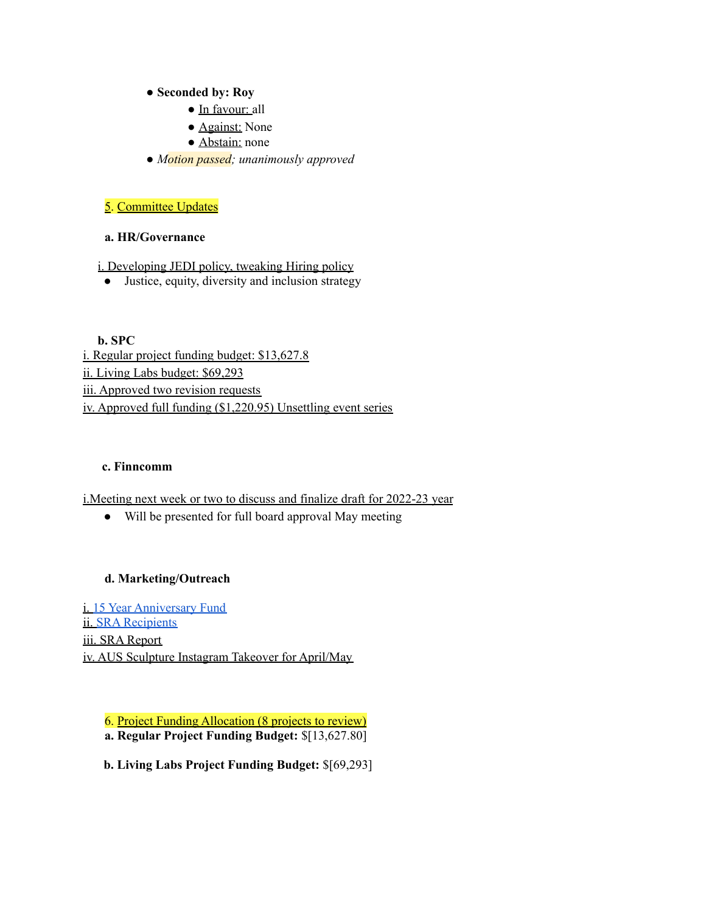#### ● **Seconded by: Roy**

- In favour: all
- Against: None
- Abstain: none
- *Motion passed; unanimously approved*

### 5. Committee Updates

#### **a. HR/Governance**

i. Developing JEDI policy, tweaking Hiring policy

• Justice, equity, diversity and inclusion strategy

**b. SPC** i. Regular project funding budget: \$13,627.8 ii. Living Labs budget: \$69,293 iii. Approved two revision requests iv. Approved full funding (\$1,220.95) Unsettling event series

#### **c. Finncomm**

i.Meeting next week or two to discuss and finalize draft for 2022-23 year

● Will be presented for full board approval May meeting

#### **d. Marketing/Outreach**

i. 15 Year [Anniversary](https://www.facebook.com/events/2351189275036874/?ref=newsfeed) Fund ii. SRA [Recipients](https://www.safconcordia.ca/award-recipients/) iii. SRA Report iv. AUS Sculpture Instagram Takeover for April/May

6. Project Funding Allocation (8 projects to review) **a. Regular Project Funding Budget:** \$[13,627.80]

**b. Living Labs Project Funding Budget:** \$[69,293]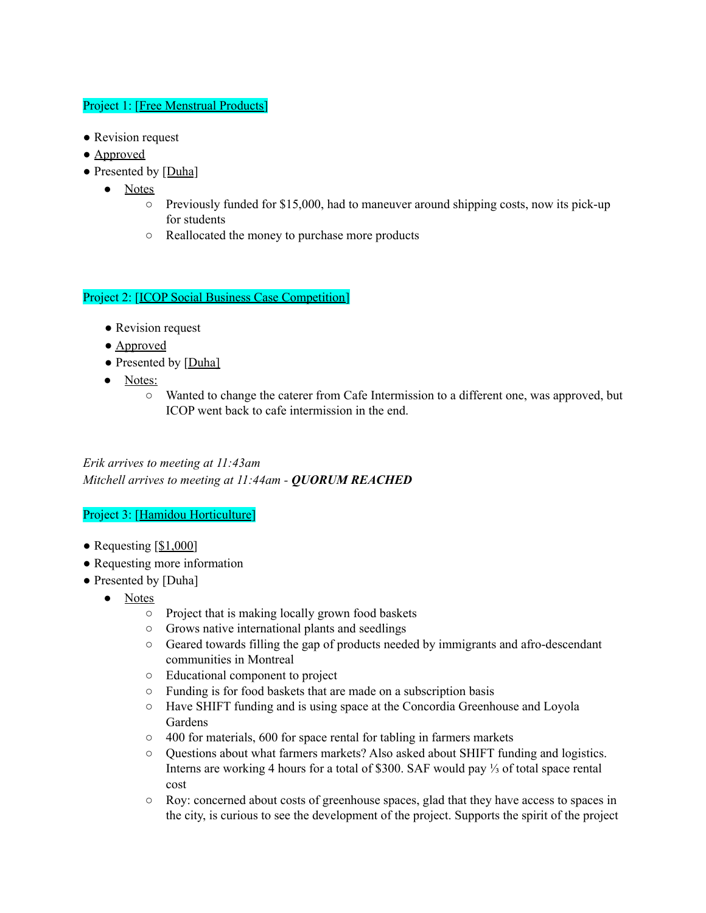### Project 1: [Free Menstrual Products]

- Revision request
- Approved
- Presented by [Duha]
	- Notes
		- $\circ$  Previously funded for \$15,000, had to maneuver around shipping costs, now its pick-up for students
		- Reallocated the money to purchase more products

#### Project 2: [ICOP Social Business Case Competition]

- Revision request
- Approved
- Presented by [Duha]
- Notes:
	- Wanted to change the caterer from Cafe Intermission to a different one, was approved, but ICOP went back to cafe intermission in the end.

*Erik arrives to meeting at 11:43am Mitchell arrives to meeting at 11:44am - QUORUM REACHED*

#### Project 3: [Hamidou Horticulture]

- Requesting  $[$1,000]$
- Requesting more information
- Presented by [Duha]
	- Notes
		- Project that is making locally grown food baskets
		- Grows native international plants and seedlings
		- Geared towards filling the gap of products needed by immigrants and afro-descendant communities in Montreal
		- Educational component to project
		- Funding is for food baskets that are made on a subscription basis
		- Have SHIFT funding and is using space at the Concordia Greenhouse and Loyola Gardens
		- 400 for materials, 600 for space rental for tabling in farmers markets
		- Questions about what farmers markets? Also asked about SHIFT funding and logistics. Interns are working 4 hours for a total of \$300. SAF would pay ⅓ of total space rental cost
		- Roy: concerned about costs of greenhouse spaces, glad that they have access to spaces in the city, is curious to see the development of the project. Supports the spirit of the project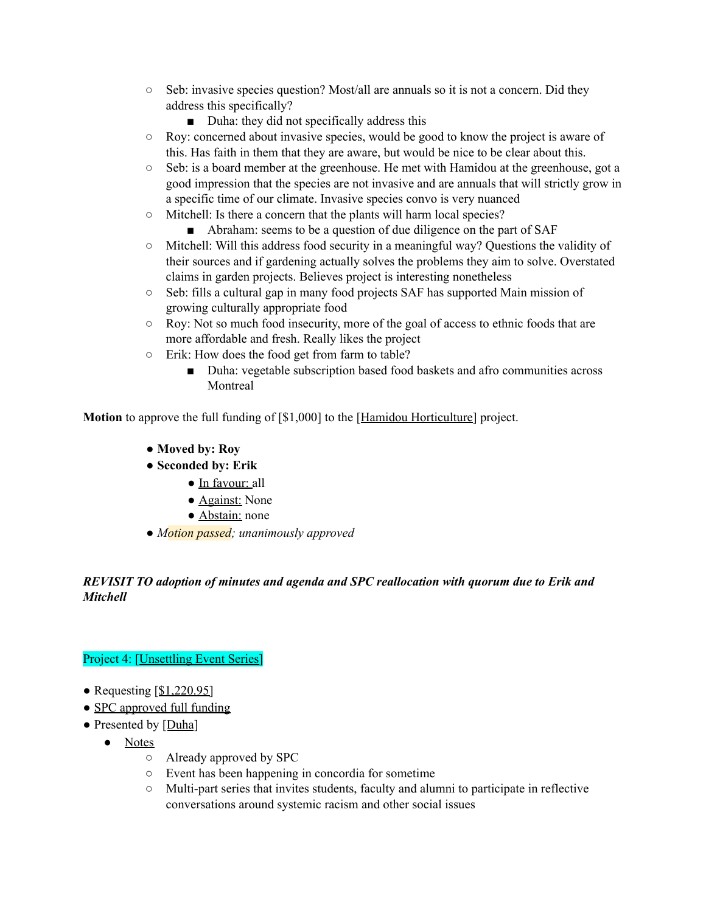- $\circ$  Seb: invasive species question? Most/all are annuals so it is not a concern. Did they address this specifically?
	- Duha: they did not specifically address this
- $\circ$  Roy: concerned about invasive species, would be good to know the project is aware of this. Has faith in them that they are aware, but would be nice to be clear about this.
- $\circ$  Seb: is a board member at the greenhouse. He met with Hamidou at the greenhouse, got a good impression that the species are not invasive and are annuals that will strictly grow in a specific time of our climate. Invasive species convo is very nuanced
- Mitchell: Is there a concern that the plants will harm local species?
	- Abraham: seems to be a question of due diligence on the part of SAF
- Mitchell: Will this address food security in a meaningful way? Questions the validity of their sources and if gardening actually solves the problems they aim to solve. Overstated claims in garden projects. Believes project is interesting nonetheless
- $\circ$  Seb: fills a cultural gap in many food projects SAF has supported Main mission of growing culturally appropriate food
- Roy: Not so much food insecurity, more of the goal of access to ethnic foods that are more affordable and fresh. Really likes the project
- Erik: How does the food get from farm to table?
	- Duha: vegetable subscription based food baskets and afro communities across Montreal

**Motion** to approve the full funding of [\$1,000] to the [Hamidou Horticulture] project.

- **Moved by: Roy**
- **Seconded by: Erik**
	- In favour: all
	- Against: None
	- Abstain: none
- *Motion passed; unanimously approved*

## *REVISIT TO adoption of minutes and agenda and SPC reallocation with quorum due to Erik and Mitchell*

## Project 4: [Unsettling Event Series]

- Requesting  $[$1,220.95]$
- SPC approved full funding
- Presented by [Duha]
	- Notes
		- Already approved by SPC
		- Event has been happening in concordia for sometime
		- Multi-part series that invites students, faculty and alumni to participate in reflective conversations around systemic racism and other social issues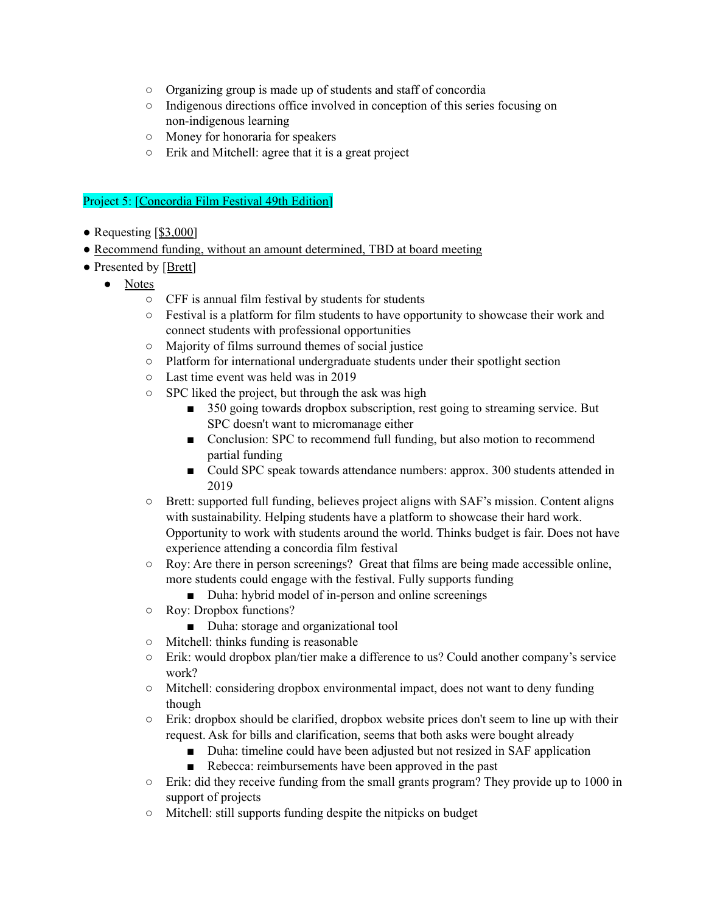- Organizing group is made up of students and staff of concordia
- Indigenous directions office involved in conception of this series focusing on non-indigenous learning
- Money for honoraria for speakers
- Erik and Mitchell: agree that it is a great project

#### Project 5: [Concordia Film Festival 49th Edition]

- Requesting  $[$3,000]$
- Recommend funding, without an amount determined, TBD at board meeting
- Presented by [Brett]
	- Notes
		- CFF is annual film festival by students for students
		- Festival is a platform for film students to have opportunity to showcase their work and connect students with professional opportunities
		- Majority of films surround themes of social justice
		- Platform for international undergraduate students under their spotlight section
		- Last time event was held was in 2019
		- SPC liked the project, but through the ask was high
			- 350 going towards dropbox subscription, rest going to streaming service. But SPC doesn't want to micromanage either
			- Conclusion: SPC to recommend full funding, but also motion to recommend partial funding
			- Could SPC speak towards attendance numbers: approx. 300 students attended in 2019
		- Brett: supported full funding, believes project aligns with SAF's mission. Content aligns with sustainability. Helping students have a platform to showcase their hard work. Opportunity to work with students around the world. Thinks budget is fair. Does not have experience attending a concordia film festival
		- Roy: Are there in person screenings? Great that films are being made accessible online, more students could engage with the festival. Fully supports funding
			- Duha: hybrid model of in-person and online screenings
		- Roy: Dropbox functions?
			- Duha: storage and organizational tool
		- Mitchell: thinks funding is reasonable
		- Erik: would dropbox plan/tier make a difference to us? Could another company's service work?
		- Mitchell: considering dropbox environmental impact, does not want to deny funding though
		- $\circ$  Erik: dropbox should be clarified, dropbox website prices don't seem to line up with their request. Ask for bills and clarification, seems that both asks were bought already
			- Duha: timeline could have been adjusted but not resized in SAF application
			- Rebecca: reimbursements have been approved in the past
		- Erik: did they receive funding from the small grants program? They provide up to 1000 in support of projects
		- Mitchell: still supports funding despite the nitpicks on budget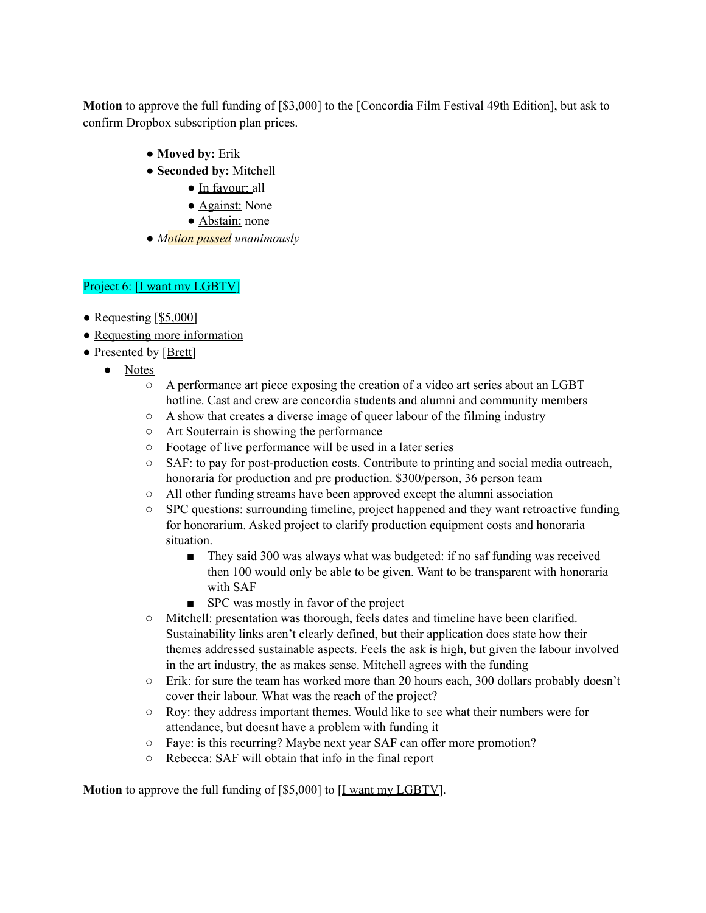**Motion** to approve the full funding of [\$3,000] to the [Concordia Film Festival 49th Edition], but ask to confirm Dropbox subscription plan prices.

- **Moved by:** Erik
- **Seconded by:** Mitchell
	- In favour: all
	- Against: None
	- Abstain: none
- *Motion passed unanimously*

# Project 6: [I want my LGBTV]

- Requesting [\$5,000]
- Requesting more information
- Presented by [Brett]
	- Notes
		- A performance art piece exposing the creation of a video art series about an LGBT hotline. Cast and crew are concordia students and alumni and community members
		- A show that creates a diverse image of queer labour of the filming industry
		- Art Souterrain is showing the performance
		- Footage of live performance will be used in a later series
		- SAF: to pay for post-production costs. Contribute to printing and social media outreach, honoraria for production and pre production. \$300/person, 36 person team
		- All other funding streams have been approved except the alumni association
		- SPC questions: surrounding timeline, project happened and they want retroactive funding for honorarium. Asked project to clarify production equipment costs and honoraria situation.
			- They said 300 was always what was budgeted: if no saf funding was received then 100 would only be able to be given. Want to be transparent with honoraria with SAF
			- SPC was mostly in favor of the project
		- Mitchell: presentation was thorough, feels dates and timeline have been clarified. Sustainability links aren't clearly defined, but their application does state how their themes addressed sustainable aspects. Feels the ask is high, but given the labour involved in the art industry, the as makes sense. Mitchell agrees with the funding
		- Erik: for sure the team has worked more than 20 hours each, 300 dollars probably doesn't cover their labour. What was the reach of the project?
		- Roy: they address important themes. Would like to see what their numbers were for attendance, but doesnt have a problem with funding it
		- Faye: is this recurring? Maybe next year SAF can offer more promotion?
		- Rebecca: SAF will obtain that info in the final report

**Motion** to approve the full funding of [\$5,000] to [<u>I want my LGBTV</u>].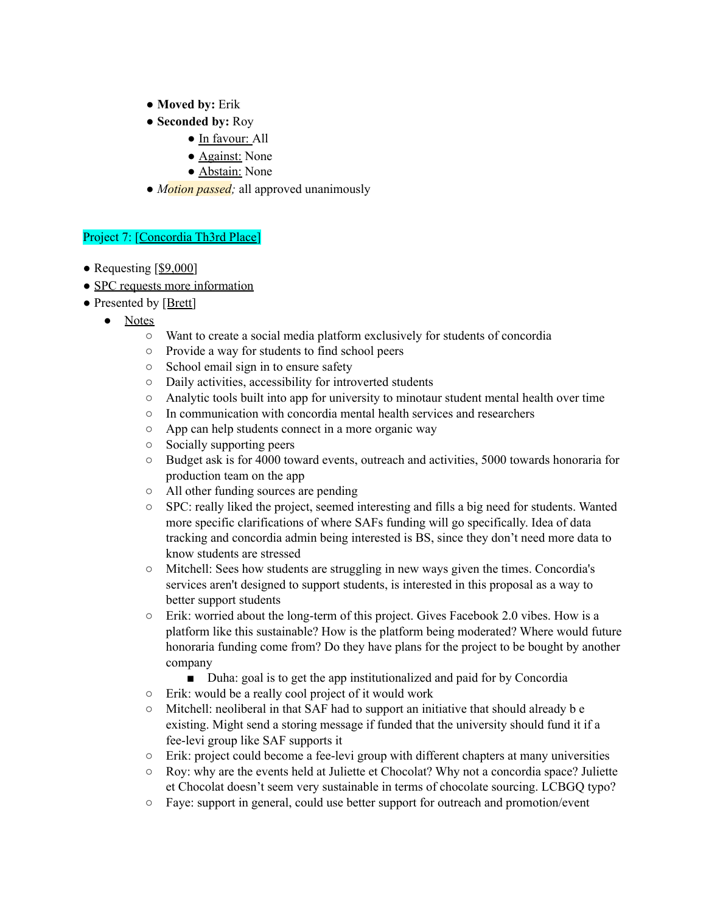- **Moved by:** Erik
- **Seconded by:** Roy
	- In favour: All
	- Against: None
	- Abstain: None
- *Motion passed*; all approved unanimously

#### Project 7: [Concordia Th3rd Place]

- Requesting [\$9,000]
- SPC requests more information
- Presented by [Brett]
	- Notes
		- Want to create a social media platform exclusively for students of concordia
		- Provide a way for students to find school peers
		- School email sign in to ensure safety
		- Daily activities, accessibility for introverted students
		- Analytic tools built into app for university to minotaur student mental health over time
		- In communication with concordia mental health services and researchers
		- App can help students connect in a more organic way
		- Socially supporting peers
		- Budget ask is for 4000 toward events, outreach and activities, 5000 towards honoraria for production team on the app
		- All other funding sources are pending
		- SPC: really liked the project, seemed interesting and fills a big need for students. Wanted more specific clarifications of where SAFs funding will go specifically. Idea of data tracking and concordia admin being interested is BS, since they don't need more data to know students are stressed
		- Mitchell: Sees how students are struggling in new ways given the times. Concordia's services aren't designed to support students, is interested in this proposal as a way to better support students
		- $\circ$  Erik: worried about the long-term of this project. Gives Facebook 2.0 vibes. How is a platform like this sustainable? How is the platform being moderated? Where would future honoraria funding come from? Do they have plans for the project to be bought by another company
			- Duha: goal is to get the app institutionalized and paid for by Concordia
		- Erik: would be a really cool project of it would work
		- $\circ$  Mitchell: neoliberal in that SAF had to support an initiative that should already b e existing. Might send a storing message if funded that the university should fund it if a fee-levi group like SAF supports it
		- Erik: project could become a fee-levi group with different chapters at many universities
		- Roy: why are the events held at Juliette et Chocolat? Why not a concordia space? Juliette et Chocolat doesn't seem very sustainable in terms of chocolate sourcing. LCBGQ typo?
		- Faye: support in general, could use better support for outreach and promotion/event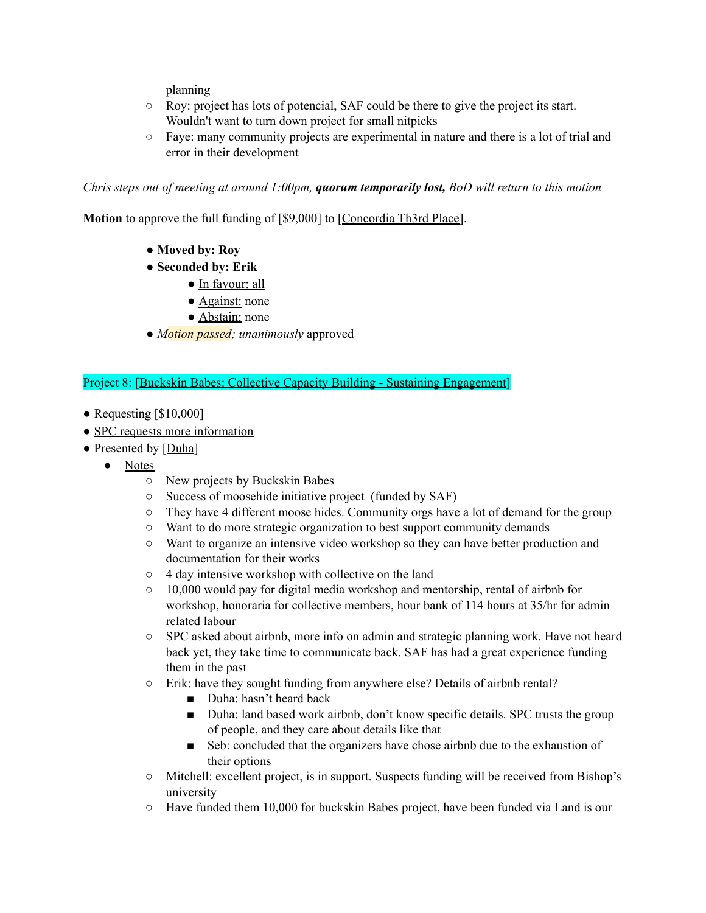planning

- Roy: project has lots of potencial, SAF could be there to give the project its start. Wouldn't want to turn down project for small nitpicks
- Faye: many community projects are experimental in nature and there is a lot of trial and error in their development

*Chris steps out of meeting at around 1:00pm, quorum temporarily lost, BoD will return to this motion*

**Motion** to approve the full funding of [\$9,000] to [Concordia Th3rd Place].

- **Moved by: Roy**
- **Seconded by: Erik**
	- In favour: all
	- Against: none
	- Abstain: none
- *Motion passed; unanimously* approved

Project 8: [Buckskin Babes: Collective Capacity Building - Sustaining Engagement]

- Requesting [\$10,000]
- SPC requests more information
- Presented by [Duha]
	- Notes
		- New projects by Buckskin Babes
		- Success of moosehide initiative project (funded by SAF)
		- $\circ$  They have 4 different moose hides. Community orgs have a lot of demand for the group
		- Want to do more strategic organization to best support community demands
		- Want to organize an intensive video workshop so they can have better production and documentation for their works
		- 4 day intensive workshop with collective on the land
		- 10,000 would pay for digital media workshop and mentorship, rental of airbnb for workshop, honoraria for collective members, hour bank of 114 hours at 35/hr for admin related labour
		- SPC asked about airbnb, more info on admin and strategic planning work. Have not heard back yet, they take time to communicate back. SAF has had a great experience funding them in the past
		- Erik: have they sought funding from anywhere else? Details of airbnb rental?
			- Duha: hasn't heard back
			- Duha: land based work airbnb, don't know specific details. SPC trusts the group of people, and they care about details like that
			- Seb: concluded that the organizers have chose airbnb due to the exhaustion of their options
		- Mitchell: excellent project, is in support. Suspects funding will be received from Bishop's university
		- $\circ$  Have funded them 10,000 for buckskin Babes project, have been funded via Land is our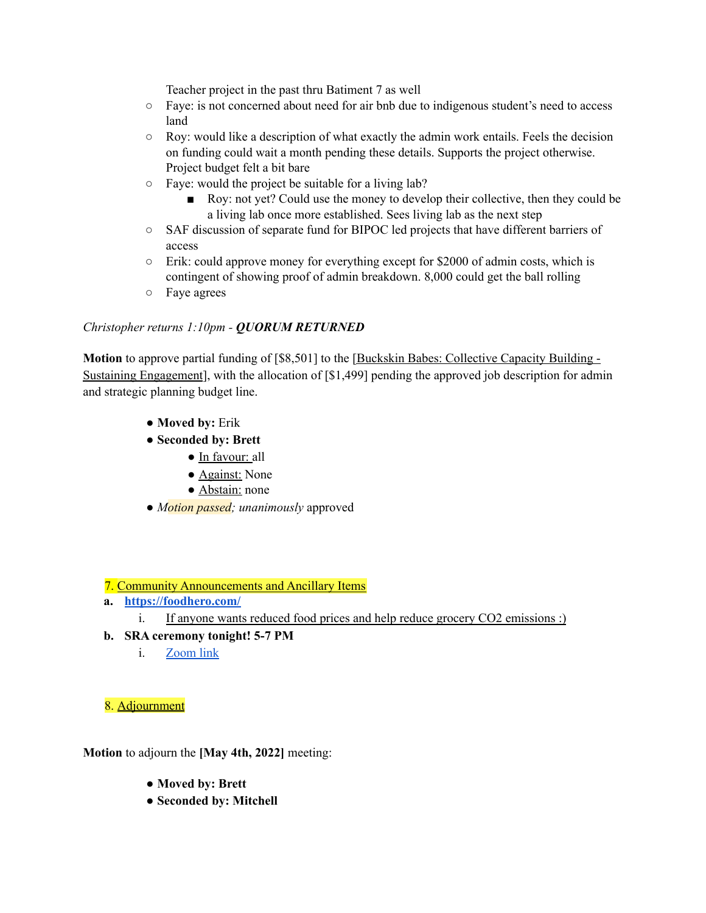Teacher project in the past thru Batiment 7 as well

- Faye: is not concerned about need for air bnb due to indigenous student's need to access land
- $\circ$  Roy: would like a description of what exactly the admin work entails. Feels the decision on funding could wait a month pending these details. Supports the project otherwise. Project budget felt a bit bare
- Faye: would the project be suitable for a living lab?
	- Roy: not yet? Could use the money to develop their collective, then they could be a living lab once more established. Sees living lab as the next step
- SAF discussion of separate fund for BIPOC led projects that have different barriers of access
- $\circ$  Erik: could approve money for everything except for \$2000 of admin costs, which is contingent of showing proof of admin breakdown. 8,000 could get the ball rolling
- Faye agrees

#### *Christopher returns 1:10pm - QUORUM RETURNED*

**Motion** to approve partial funding of [\$8,501] to the [Buckskin Babes: Collective Capacity Building -Sustaining Engagement], with the allocation of [\$1,499] pending the approved job description for admin and strategic planning budget line.

- **Moved by:** Erik
- **Seconded by: Brett**
	- In favour: all
	- Against: None
	- Abstain: none
- *Motion passed; unanimously* approved

7. Community Announcements and Ancillary Items

- **a. <https://foodhero.com/>**
	- i. If anyone wants reduced food prices and help reduce grocery CO2 emissions :)
- **b. SRA ceremony tonight! 5-7 PM**
	- i. [Zoom](https://concordia-ca.zoom.us/j/87963247614) link

8. Adjournment

**Motion** to adjourn the **[May 4th, 2022]** meeting:

- **Moved by: Brett**
- **Seconded by: Mitchell**